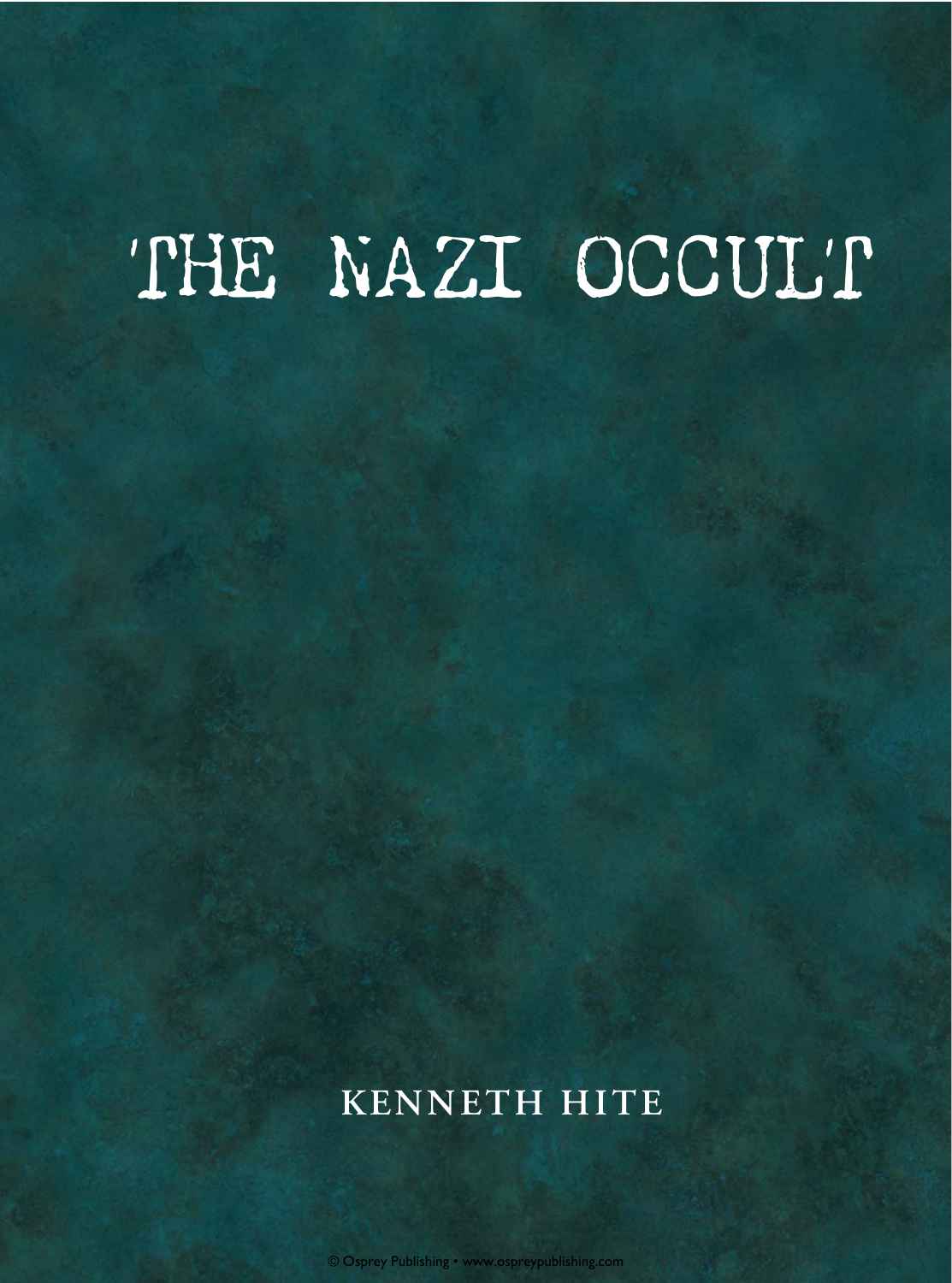# THE NAZI OCCULT

### **KENNETH HITE**

© Osprey Publishing • www.ospreypublishing.com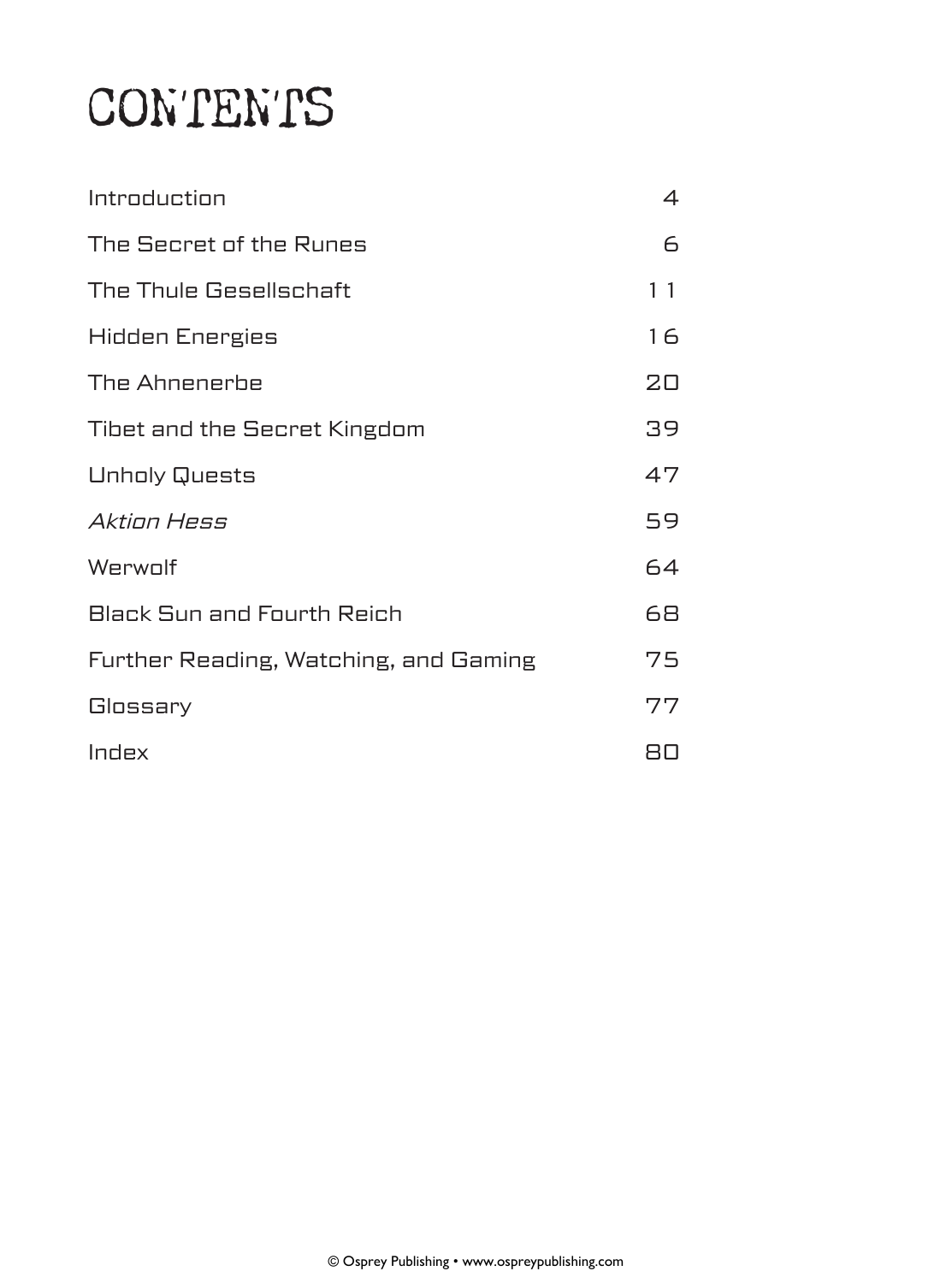# CONTENTS

| Introduction                          | 4              |
|---------------------------------------|----------------|
| The Secret of the Runes               | 6              |
| The Thule Gesellschaft                | 1 <sub>1</sub> |
| Hidden Energies                       | 16             |
| The Ahnenerbe                         | 20             |
| Tibet and the Secret Kingdom          | 39             |
| <b>Unholy Quests</b>                  | 47             |
| Aktion Hess                           | 59             |
| Werwolf                               | 64             |
| <b>Black Sun and Fourth Reich</b>     | 68             |
| Further Reading, Watching, and Gaming | 75             |
| Glossary                              | 77             |
| Index                                 | 80             |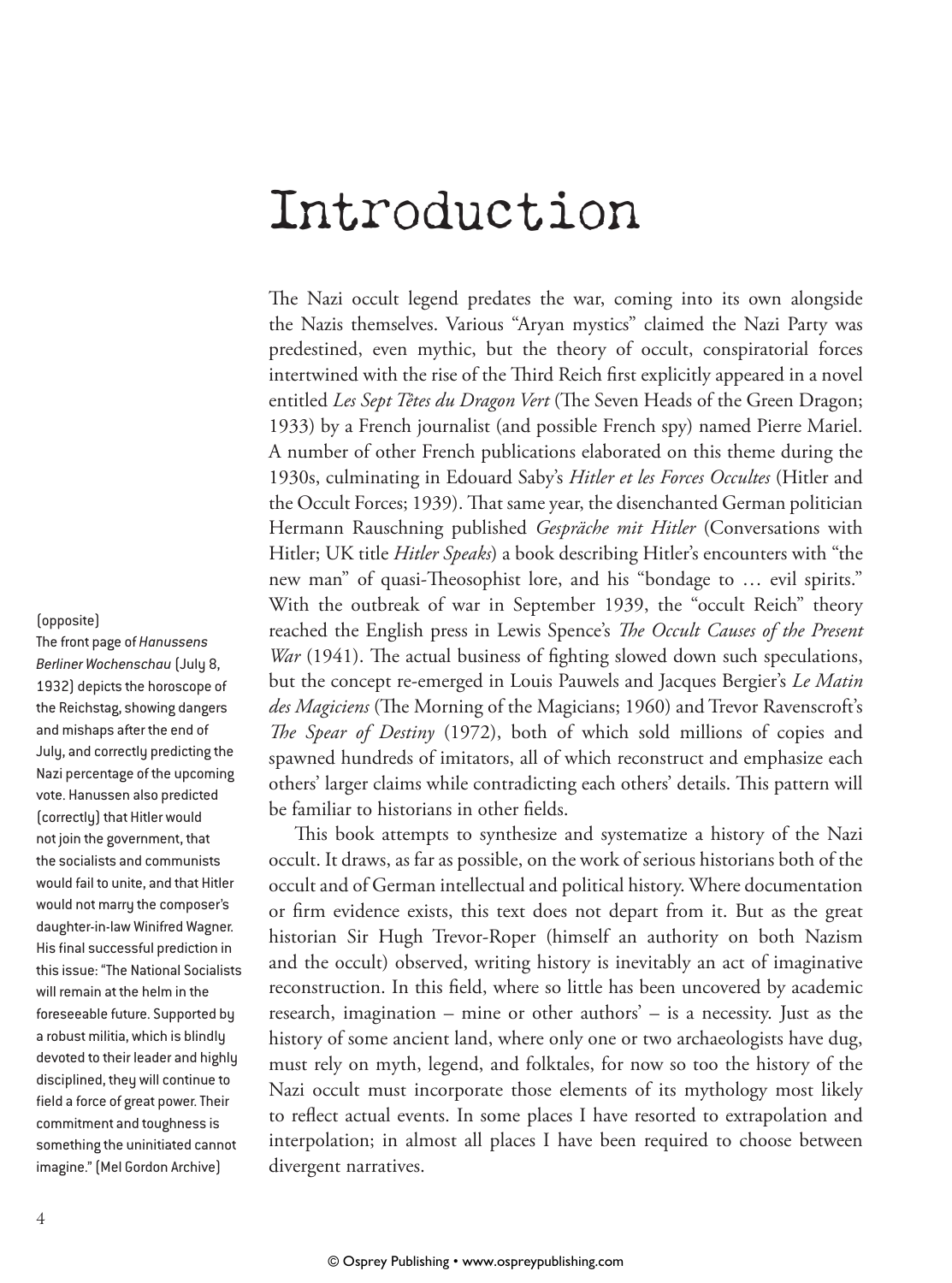# Introduction

The Nazi occult legend predates the war, coming into its own alongside the Nazis themselves. Various "Aryan mystics" claimed the Nazi Party was predestined, even mythic, but the theory of occult, conspiratorial forces intertwined with the rise of the Third Reich first explicitly appeared in a novel entitled *Les Sept Têtes du Dragon Vert* (The Seven Heads of the Green Dragon; 1933) by a French journalist (and possible French spy) named Pierre Mariel. A number of other French publications elaborated on this theme during the 1930s, culminating in Edouard Saby's *Hitler et les Forces Occultes* (Hitler and the Occult Forces; 1939). That same year, the disenchanted German politician Hermann Rauschning published *Gespräche mit Hitler* (Conversations with Hitler; UK title *Hitler Speaks*) a book describing Hitler's encounters with "the new man" of quasi-Theosophist lore, and his "bondage to ... evil spirits." With the outbreak of war in September 1939, the "occult Reich" theory reached the English press in Lewis Spence's *Te Occult Causes of the Present War* (1941). The actual business of fighting slowed down such speculations, but the concept re-emerged in Louis Pauwels and Jacques Bergier's *Le Matin des Magiciens* (The Morning of the Magicians; 1960) and Trevor Ravenscroft's *Te Spear of Destiny* (1972), both of which sold millions of copies and spawned hundreds of imitators, all of which reconstruct and emphasize each others' larger claims while contradicting each others' details. This pattern will be familiar to historians in other fields.

This book attempts to synthesize and systematize a history of the Nazi occult. It draws, as far as possible, on the work of serious historians both of the occult and of German intellectual and political history. Where documentation or firm evidence exists, this text does not depart from it. But as the great historian Sir Hugh Trevor-Roper (himself an authority on both Nazism and the occult) observed, writing history is inevitably an act of imaginative reconstruction. In this field, where so little has been uncovered by academic research, imagination – mine or other authors' – is a necessity. Just as the history of some ancient land, where only one or two archaeologists have dug, must rely on myth, legend, and folktales, for now so too the history of the Nazi occult must incorporate those elements of its mythology most likely to reflect actual events. In some places I have resorted to extrapolation and interpolation; in almost all places I have been required to choose between divergent narratives.

#### (opposite)

The front page of *Hanussens Berliner Wochenschau* (July 8, 1932) depicts the horoscope of the Reichstag, showing dangers and mishaps after the end of July, and correctly predicting the Nazi percentage of the upcoming vote. Hanussen also predicted (correctly) that Hitler would not join the government, that the socialists and communists would fail to unite, and that Hitler would not marry the composer's daughter-in-law Winifred Wagner. His fnal successful prediction in this issue: "The National Socialists will remain at the helm in the foreseeable future. Supported by a robust militia, which is blindly devoted to their leader and highly disciplined, they will continue to field a force of great power. Their commitment and toughness is something the uninitiated cannot imagine." (Mel Gordon Archive)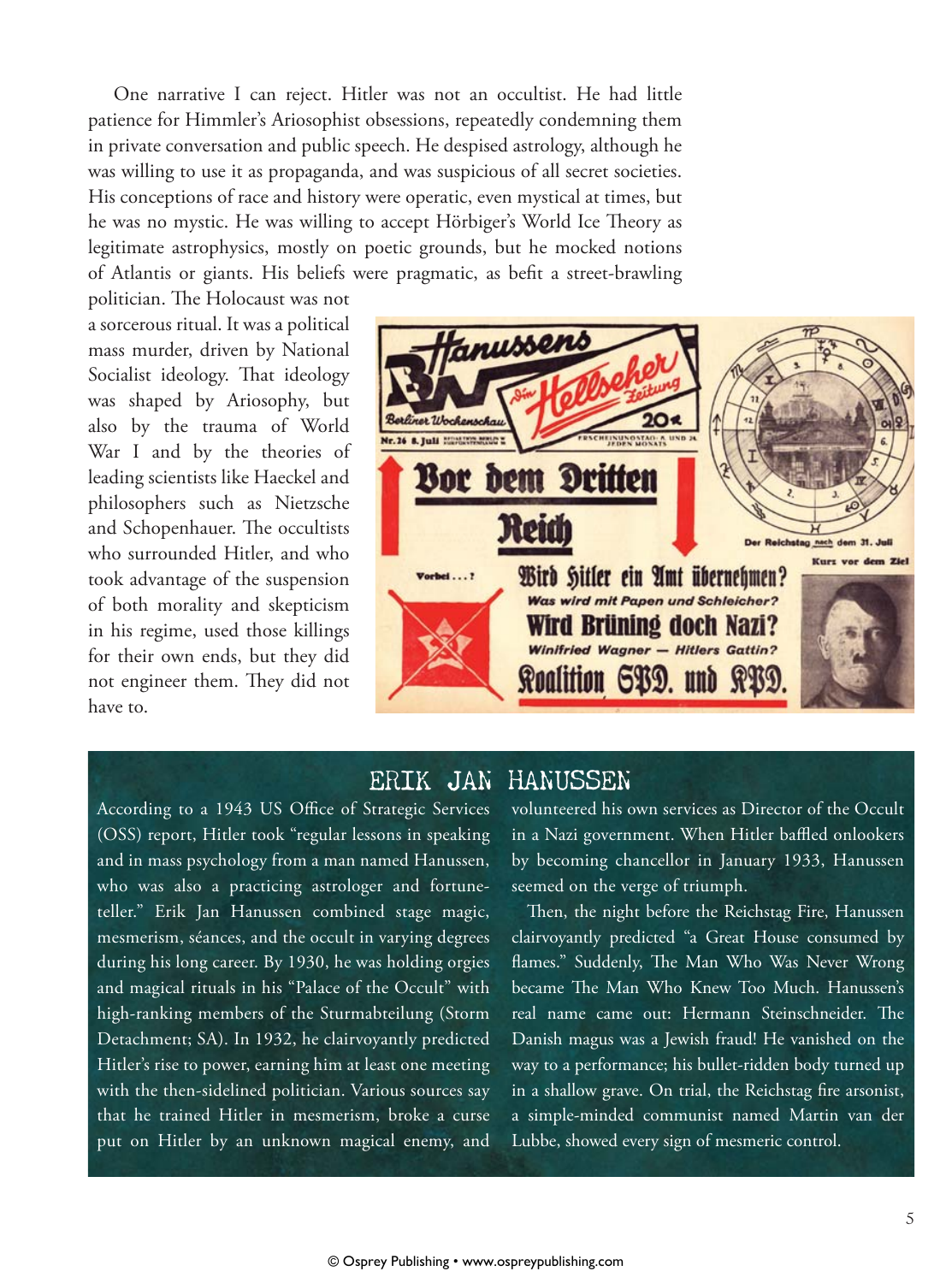One narrative I can reject. Hitler was not an occultist. He had little patience for Himmler's Ariosophist obsessions, repeatedly condemning them in private conversation and public speech. He despised astrology, although he was willing to use it as propaganda, and was suspicious of all secret societies. His conceptions of race and history were operatic, even mystical at times, but he was no mystic. He was willing to accept Hörbiger's World Ice Theory as legitimate astrophysics, mostly on poetic grounds, but he mocked notions of Atlantis or giants. His beliefs were pragmatic, as befit a street-brawling

politician. The Holocaust was not a sorcerous ritual. It was a political mass murder, driven by National Socialist ideology. That ideology was shaped by Ariosophy, but also by the trauma of World War I and by the theories of leading scientists like Haeckel and philosophers such as Nietzsche and Schopenhauer. The occultists who surrounded Hitler, and who took advantage of the suspension of both morality and skepticism in his regime, used those killings for their own ends, but they did not engineer them. They did not have to.



### ERIK JAN HANUSSEN

According to a 1943 US Office of Strategic Services (OSS) report, Hitler took "regular lessons in speaking and in mass psychology from a man named Hanussen, who was also a practicing astrologer and fortuneteller." Erik Jan Hanussen combined stage magic, mesmerism, séances, and the occult in varying degrees during his long career. By 1930, he was holding orgies and magical rituals in his "Palace of the Occult" with high-ranking members of the Sturmabteilung (Storm Detachment; SA). In 1932, he clairvoyantly predicted Hitler's rise to power, earning him at least one meeting with the then-sidelined politician. Various sources say that he trained Hitler in mesmerism, broke a curse put on Hitler by an unknown magical enemy, and volunteered his own services as Director of the Occult in a Nazi government. When Hitler baffled onlookers by becoming chancellor in January 1933, Hanussen seemed on the verge of triumph.

Then, the night before the Reichstag Fire, Hanussen clairvoyantly predicted "a Great House consumed by flames." Suddenly, The Man Who Was Never Wrong became The Man Who Knew Too Much. Hanussen's real name came out: Hermann Steinschneider. The Danish magus was a Jewish fraud! He vanished on the way to a performance; his bullet-ridden body turned up in a shallow grave. On trial, the Reichstag fire arsonist, a simple-minded communist named Martin van der Lubbe, showed every sign of mesmeric control.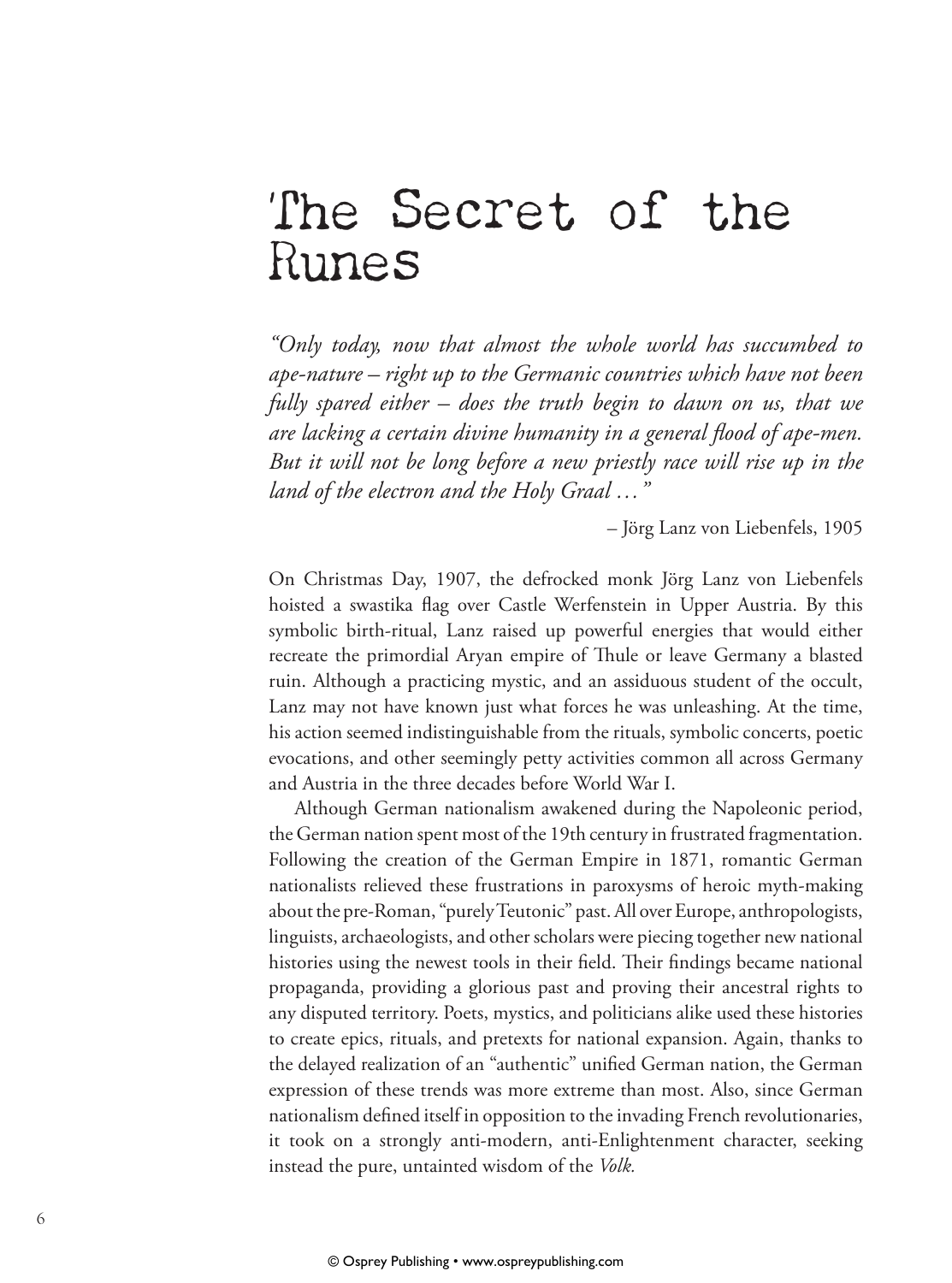## The Secret of the Runes

*"Only today, now that almost the whole world has succumbed to ape-nature – right up to the Germanic countries which have not been fully spared either – does the truth begin to dawn on us, that we are lacking a certain divine humanity in a general flood of ape-men. But it will not be long before a new priestly race will rise up in the land of the electron and the Holy Graal …"*

– Jörg Lanz von Liebenfels, 1905

On Christmas Day, 1907, the defrocked monk Jörg Lanz von Liebenfels hoisted a swastika flag over Castle Werfenstein in Upper Austria. By this symbolic birth-ritual, Lanz raised up powerful energies that would either recreate the primordial Aryan empire of Thule or leave Germany a blasted ruin. Although a practicing mystic, and an assiduous student of the occult, Lanz may not have known just what forces he was unleashing. At the time, his action seemed indistinguishable from the rituals, symbolic concerts, poetic evocations, and other seemingly petty activities common all across Germany and Austria in the three decades before World War I.

Although German nationalism awakened during the Napoleonic period, the German nation spent most of the 19th century in frustrated fragmentation. Following the creation of the German Empire in 1871, romantic German nationalists relieved these frustrations in paroxysms of heroic myth-making about the pre-Roman, "purely Teutonic" past. All over Europe, anthropologists, linguists, archaeologists, and other scholars were piecing together new national histories using the newest tools in their field. Their findings became national propaganda, providing a glorious past and proving their ancestral rights to any disputed territory. Poets, mystics, and politicians alike used these histories to create epics, rituals, and pretexts for national expansion. Again, thanks to the delayed realization of an "authentic" unified German nation, the German expression of these trends was more extreme than most. Also, since German nationalism defined itself in opposition to the invading French revolutionaries, it took on a strongly anti-modern, anti-Enlightenment character, seeking instead the pure, untainted wisdom of the *Volk.*